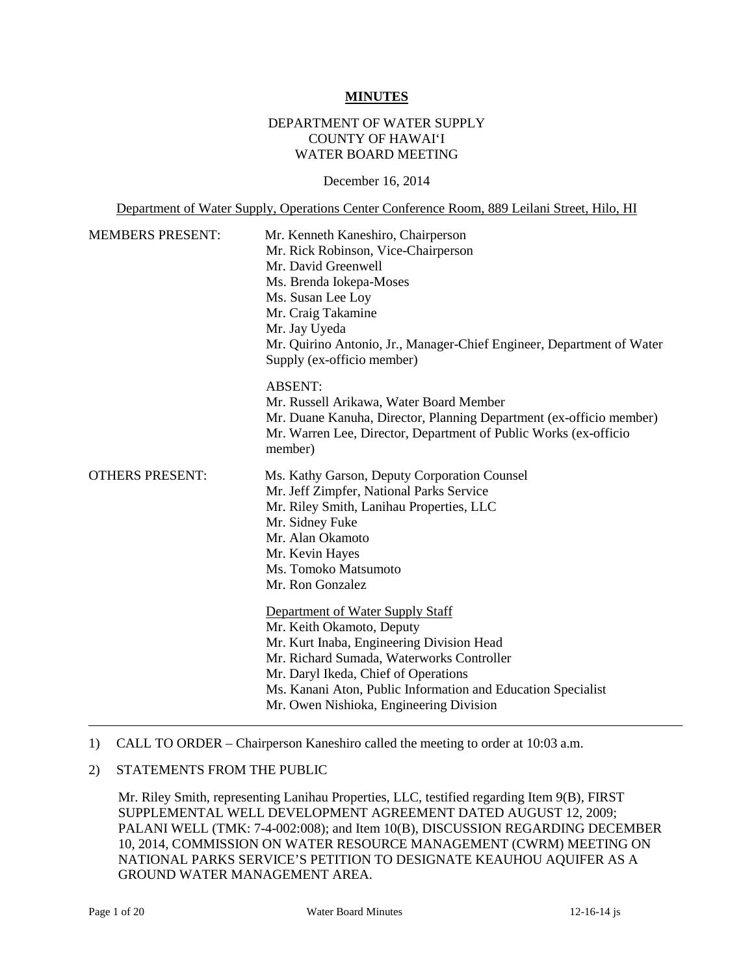### **MINUTES**

### DEPARTMENT OF WATER SUPPLY COUNTY OF HAWAI'I WATER BOARD MEETING

December 16, 2014

Department of Water Supply, Operations Center Conference Room, 889 Leilani Street, Hilo, HI

| <b>MEMBERS PRESENT:</b> | Mr. Kenneth Kaneshiro, Chairperson<br>Mr. Rick Robinson, Vice-Chairperson<br>Mr. David Greenwell<br>Ms. Brenda Iokepa-Moses<br>Ms. Susan Lee Loy<br>Mr. Craig Takamine<br>Mr. Jay Uyeda<br>Mr. Quirino Antonio, Jr., Manager-Chief Engineer, Department of Water<br>Supply (ex-officio member)                                                                                                                                                                                                                                                           |
|-------------------------|----------------------------------------------------------------------------------------------------------------------------------------------------------------------------------------------------------------------------------------------------------------------------------------------------------------------------------------------------------------------------------------------------------------------------------------------------------------------------------------------------------------------------------------------------------|
|                         | <b>ABSENT:</b><br>Mr. Russell Arikawa, Water Board Member<br>Mr. Duane Kanuha, Director, Planning Department (ex-officio member)<br>Mr. Warren Lee, Director, Department of Public Works (ex-officio<br>member)                                                                                                                                                                                                                                                                                                                                          |
| <b>OTHERS PRESENT:</b>  | Ms. Kathy Garson, Deputy Corporation Counsel<br>Mr. Jeff Zimpfer, National Parks Service<br>Mr. Riley Smith, Lanihau Properties, LLC<br>Mr. Sidney Fuke<br>Mr. Alan Okamoto<br>Mr. Kevin Hayes<br>Ms. Tomoko Matsumoto<br>Mr. Ron Gonzalez<br>Department of Water Supply Staff<br>Mr. Keith Okamoto, Deputy<br>Mr. Kurt Inaba, Engineering Division Head<br>Mr. Richard Sumada, Waterworks Controller<br>Mr. Daryl Ikeda, Chief of Operations<br>Ms. Kanani Aton, Public Information and Education Specialist<br>Mr. Owen Nishioka, Engineering Division |

#### 1) CALL TO ORDER – Chairperson Kaneshiro called the meeting to order at 10:03 a.m.

### 2) STATEMENTS FROM THE PUBLIC

Mr. Riley Smith, representing Lanihau Properties, LLC, testified regarding Item 9(B), FIRST SUPPLEMENTAL WELL DEVELOPMENT AGREEMENT DATED AUGUST 12, 2009; PALANI WELL (TMK: 7-4-002:008); and Item 10(B), DISCUSSION REGARDING DECEMBER 10, 2014, COMMISSION ON WATER RESOURCE MANAGEMENT (CWRM) MEETING ON NATIONAL PARKS SERVICE'S PETITION TO DESIGNATE KEAUHOU AQUIFER AS A GROUND WATER MANAGEMENT AREA.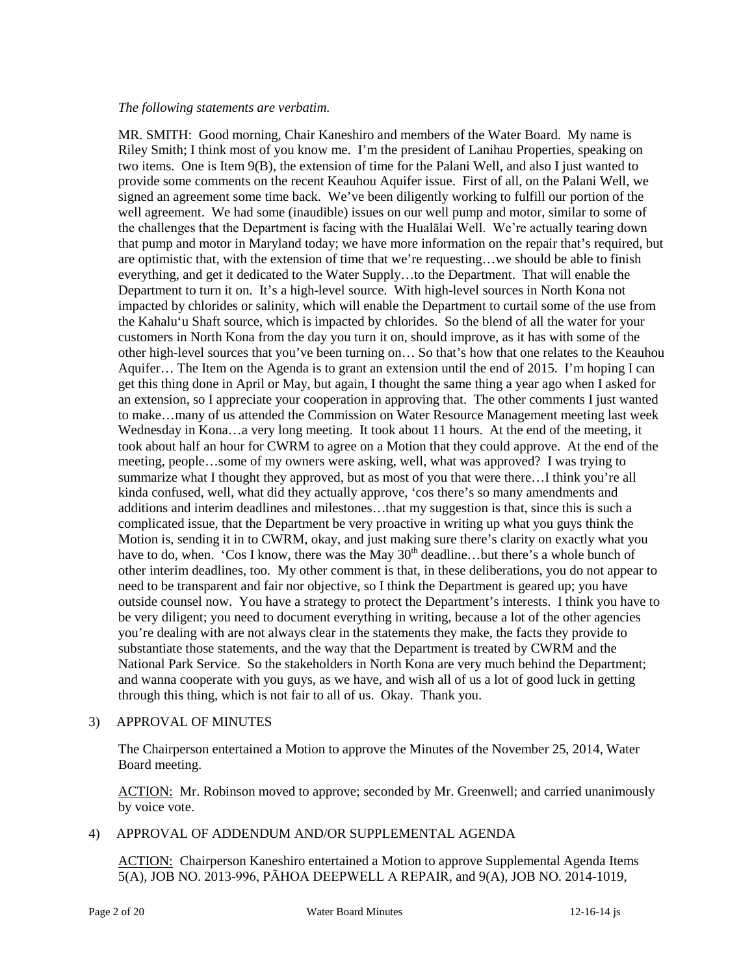### *The following statements are verbatim.*

MR. SMITH: Good morning, Chair Kaneshiro and members of the Water Board. My name is Riley Smith; I think most of you know me. I'm the president of Lanihau Properties, speaking on two items. One is Item 9(B), the extension of time for the Palani Well, and also I just wanted to provide some comments on the recent Keauhou Aquifer issue. First of all, on the Palani Well, we signed an agreement some time back. We've been diligently working to fulfill our portion of the well agreement. We had some (inaudible) issues on our well pump and motor, similar to some of the challenges that the Department is facing with the Hualālai Well. We're actually tearing down that pump and motor in Maryland today; we have more information on the repair that's required, but are optimistic that, with the extension of time that we're requesting…we should be able to finish everything, and get it dedicated to the Water Supply…to the Department. That will enable the Department to turn it on. It's a high-level source. With high-level sources in North Kona not impacted by chlorides or salinity, which will enable the Department to curtail some of the use from the Kahalu'u Shaft source, which is impacted by chlorides. So the blend of all the water for your customers in North Kona from the day you turn it on, should improve, as it has with some of the other high-level sources that you've been turning on… So that's how that one relates to the Keauhou Aquifer… The Item on the Agenda is to grant an extension until the end of 2015. I'm hoping I can get this thing done in April or May, but again, I thought the same thing a year ago when I asked for an extension, so I appreciate your cooperation in approving that. The other comments I just wanted to make…many of us attended the Commission on Water Resource Management meeting last week Wednesday in Kona…a very long meeting. It took about 11 hours. At the end of the meeting, it took about half an hour for CWRM to agree on a Motion that they could approve. At the end of the meeting, people…some of my owners were asking, well, what was approved? I was trying to summarize what I thought they approved, but as most of you that were there…I think you're all kinda confused, well, what did they actually approve, 'cos there's so many amendments and additions and interim deadlines and milestones…that my suggestion is that, since this is such a complicated issue, that the Department be very proactive in writing up what you guys think the Motion is, sending it in to CWRM, okay, and just making sure there's clarity on exactly what you have to do, when. 'Cos I know, there was the May  $30<sup>th</sup>$  deadline...but there's a whole bunch of other interim deadlines, too. My other comment is that, in these deliberations, you do not appear to need to be transparent and fair nor objective, so I think the Department is geared up; you have outside counsel now. You have a strategy to protect the Department's interests. I think you have to be very diligent; you need to document everything in writing, because a lot of the other agencies you're dealing with are not always clear in the statements they make, the facts they provide to substantiate those statements, and the way that the Department is treated by CWRM and the National Park Service. So the stakeholders in North Kona are very much behind the Department; and wanna cooperate with you guys, as we have, and wish all of us a lot of good luck in getting through this thing, which is not fair to all of us. Okay. Thank you.

### 3) APPROVAL OF MINUTES

The Chairperson entertained a Motion to approve the Minutes of the November 25, 2014, Water Board meeting.

ACTION: Mr. Robinson moved to approve; seconded by Mr. Greenwell; and carried unanimously by voice vote.

### 4) APPROVAL OF ADDENDUM AND/OR SUPPLEMENTAL AGENDA

ACTION: Chairperson Kaneshiro entertained a Motion to approve Supplemental Agenda Items 5(A), JOB NO. 2013-996, PĀHOA DEEPWELL A REPAIR, and 9(A), JOB NO. 2014-1019,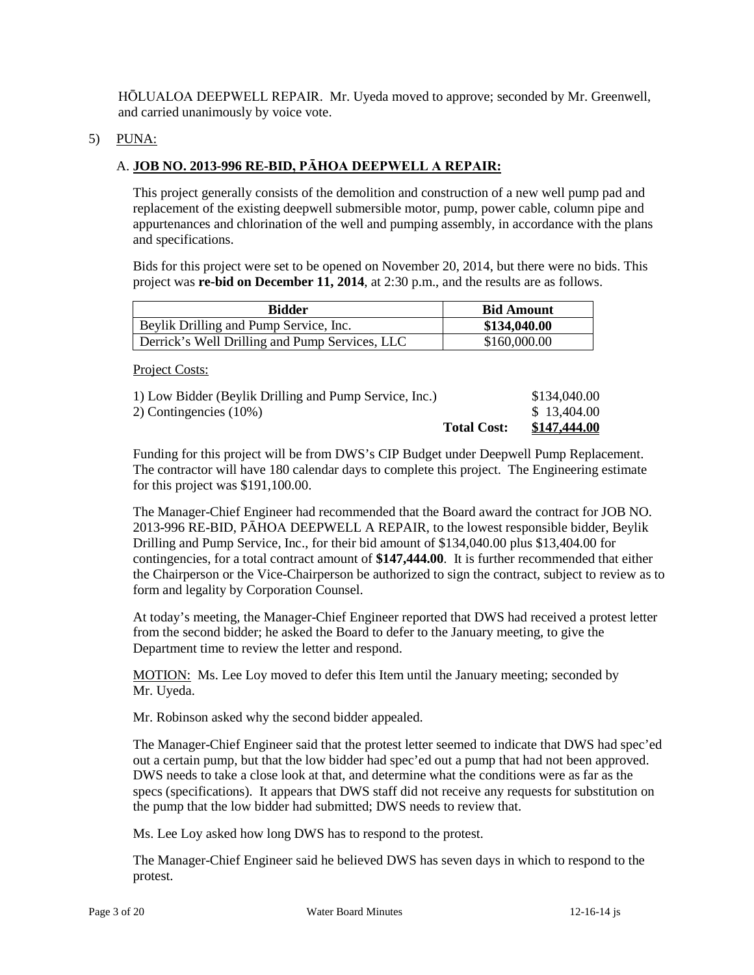HŌLUALOA DEEPWELL REPAIR. Mr. Uyeda moved to approve; seconded by Mr. Greenwell, and carried unanimously by voice vote.

### 5) PUNA:

# A. **JOB NO. 2013-996 RE-BID, PĀHOA DEEPWELL A REPAIR:**

This project generally consists of the demolition and construction of a new well pump pad and replacement of the existing deepwell submersible motor, pump, power cable, column pipe and appurtenances and chlorination of the well and pumping assembly, in accordance with the plans and specifications.

Bids for this project were set to be opened on November 20, 2014, but there were no bids. This project was **re-bid on December 11, 2014**, at 2:30 p.m., and the results are as follows.

| <b>Bidder</b>                                  | <b>Bid Amount</b> |
|------------------------------------------------|-------------------|
| Beylik Drilling and Pump Service, Inc.         | \$134,040.00      |
| Derrick's Well Drilling and Pump Services, LLC | \$160,000.00      |

Project Costs:

| <b>Total Cost:</b>                                     | \$147.444.00 |
|--------------------------------------------------------|--------------|
| 2) Contingencies (10%)                                 | \$13,404.00  |
| 1) Low Bidder (Beylik Drilling and Pump Service, Inc.) | \$134,040.00 |

Funding for this project will be from DWS's CIP Budget under Deepwell Pump Replacement. The contractor will have 180 calendar days to complete this project. The Engineering estimate for this project was \$191,100.00.

The Manager-Chief Engineer had recommended that the Board award the contract for JOB NO. 2013-996 RE-BID, PĀHOA DEEPWELL A REPAIR, to the lowest responsible bidder, Beylik Drilling and Pump Service, Inc., for their bid amount of \$134,040.00 plus \$13,404.00 for contingencies, for a total contract amount of **\$147,444.00**. It is further recommended that either the Chairperson or the Vice-Chairperson be authorized to sign the contract, subject to review as to form and legality by Corporation Counsel.

At today's meeting, the Manager-Chief Engineer reported that DWS had received a protest letter from the second bidder; he asked the Board to defer to the January meeting, to give the Department time to review the letter and respond.

MOTION: Ms. Lee Loy moved to defer this Item until the January meeting; seconded by Mr. Uyeda.

Mr. Robinson asked why the second bidder appealed.

The Manager-Chief Engineer said that the protest letter seemed to indicate that DWS had spec'ed out a certain pump, but that the low bidder had spec'ed out a pump that had not been approved. DWS needs to take a close look at that, and determine what the conditions were as far as the specs (specifications). It appears that DWS staff did not receive any requests for substitution on the pump that the low bidder had submitted; DWS needs to review that.

Ms. Lee Loy asked how long DWS has to respond to the protest.

The Manager-Chief Engineer said he believed DWS has seven days in which to respond to the protest.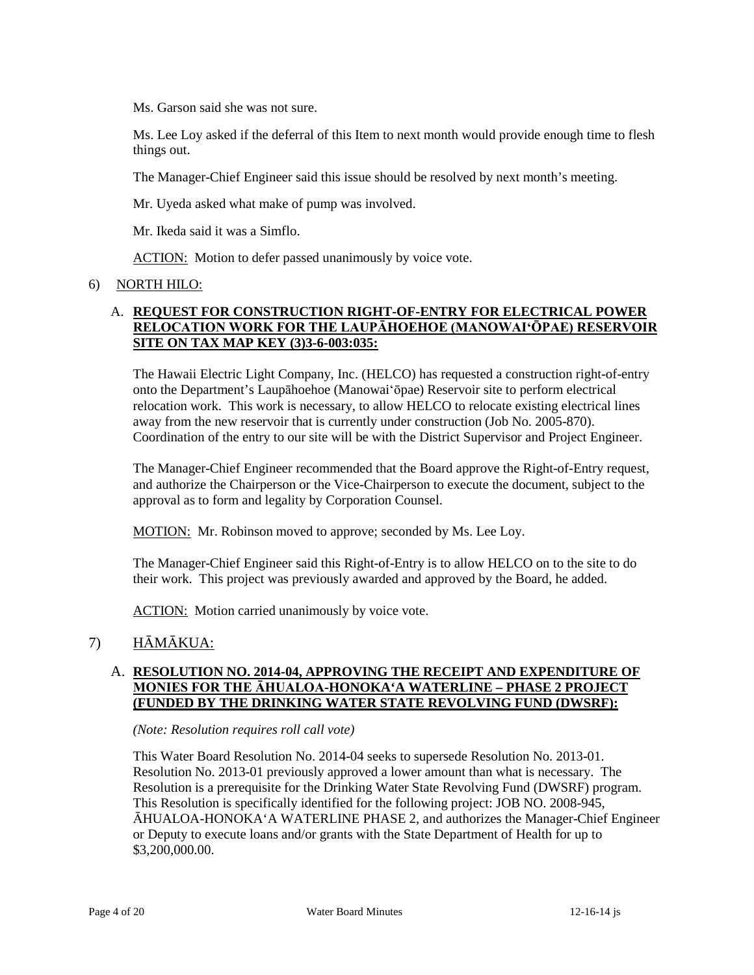Ms. Garson said she was not sure.

Ms. Lee Loy asked if the deferral of this Item to next month would provide enough time to flesh things out.

The Manager-Chief Engineer said this issue should be resolved by next month's meeting.

Mr. Uyeda asked what make of pump was involved.

Mr. Ikeda said it was a Simflo.

ACTION: Motion to defer passed unanimously by voice vote.

### 6) NORTH HILO:

### A. **REQUEST FOR CONSTRUCTION RIGHT-OF-ENTRY FOR ELECTRICAL POWER RELOCATION WORK FOR THE LAUPĀHOEHOE (MANOWAI'ŌPAE) RESERVOIR SITE ON TAX MAP KEY (3)3-6-003:035:**

The Hawaii Electric Light Company, Inc. (HELCO) has requested a construction right-of-entry onto the Department's Laupāhoehoe (Manowai'ōpae) Reservoir site to perform electrical relocation work. This work is necessary, to allow HELCO to relocate existing electrical lines away from the new reservoir that is currently under construction (Job No. 2005-870). Coordination of the entry to our site will be with the District Supervisor and Project Engineer.

The Manager-Chief Engineer recommended that the Board approve the Right-of-Entry request, and authorize the Chairperson or the Vice-Chairperson to execute the document, subject to the approval as to form and legality by Corporation Counsel.

MOTION: Mr. Robinson moved to approve; seconded by Ms. Lee Loy.

The Manager-Chief Engineer said this Right-of-Entry is to allow HELCO on to the site to do their work. This project was previously awarded and approved by the Board, he added.

ACTION: Motion carried unanimously by voice vote.

# 7) HĀMĀKUA:

### A. **RESOLUTION NO. 2014-04, APPROVING THE RECEIPT AND EXPENDITURE OF MONIES FOR THE ĀHUALOA-HONOKA'A WATERLINE – PHASE 2 PROJECT (FUNDED BY THE DRINKING WATER STATE REVOLVING FUND (DWSRF):**

*(Note: Resolution requires roll call vote)*

This Water Board Resolution No. 2014-04 seeks to supersede Resolution No. 2013-01. Resolution No. 2013-01 previously approved a lower amount than what is necessary. The Resolution is a prerequisite for the Drinking Water State Revolving Fund (DWSRF) program. This Resolution is specifically identified for the following project: JOB NO. 2008-945, ĀHUALOA-HONOKA'A WATERLINE PHASE 2, and authorizes the Manager-Chief Engineer or Deputy to execute loans and/or grants with the State Department of Health for up to \$3,200,000.00.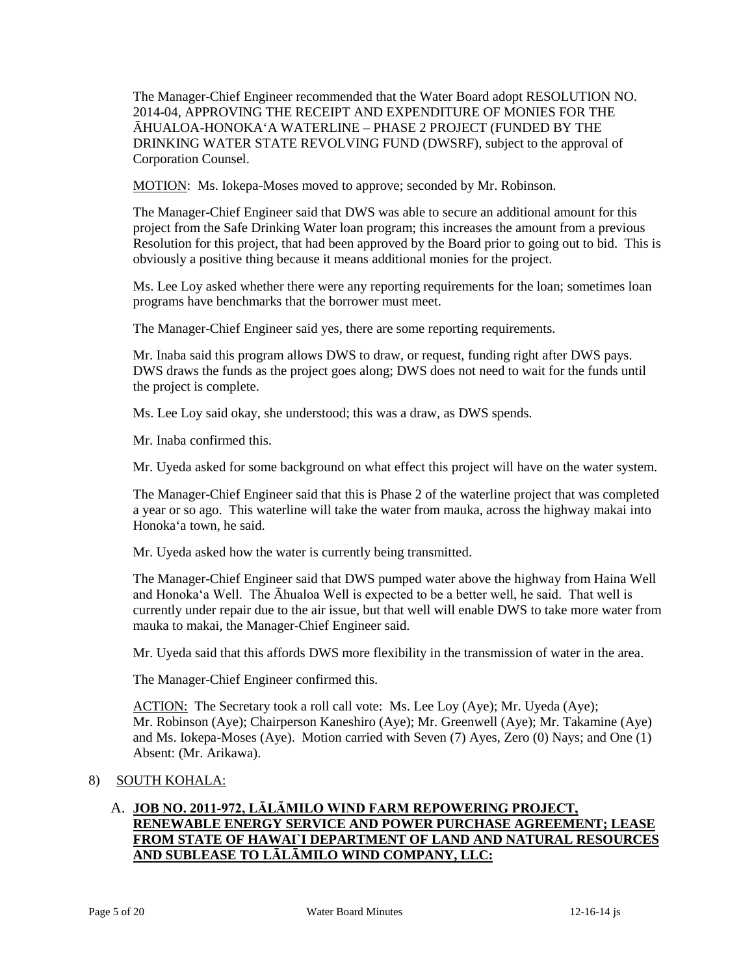The Manager-Chief Engineer recommended that the Water Board adopt RESOLUTION NO. 2014-04, APPROVING THE RECEIPT AND EXPENDITURE OF MONIES FOR THE ĀHUALOA-HONOKA'A WATERLINE – PHASE 2 PROJECT (FUNDED BY THE DRINKING WATER STATE REVOLVING FUND (DWSRF), subject to the approval of Corporation Counsel.

MOTION: Ms. Iokepa-Moses moved to approve; seconded by Mr. Robinson.

The Manager-Chief Engineer said that DWS was able to secure an additional amount for this project from the Safe Drinking Water loan program; this increases the amount from a previous Resolution for this project, that had been approved by the Board prior to going out to bid. This is obviously a positive thing because it means additional monies for the project.

Ms. Lee Loy asked whether there were any reporting requirements for the loan; sometimes loan programs have benchmarks that the borrower must meet.

The Manager-Chief Engineer said yes, there are some reporting requirements.

Mr. Inaba said this program allows DWS to draw, or request, funding right after DWS pays. DWS draws the funds as the project goes along; DWS does not need to wait for the funds until the project is complete.

Ms. Lee Loy said okay, she understood; this was a draw, as DWS spends.

Mr. Inaba confirmed this.

Mr. Uyeda asked for some background on what effect this project will have on the water system.

The Manager-Chief Engineer said that this is Phase 2 of the waterline project that was completed a year or so ago. This waterline will take the water from mauka, across the highway makai into Honoka'a town, he said.

Mr. Uyeda asked how the water is currently being transmitted.

The Manager-Chief Engineer said that DWS pumped water above the highway from Haina Well and Honoka'a Well. The Āhualoa Well is expected to be a better well, he said. That well is currently under repair due to the air issue, but that well will enable DWS to take more water from mauka to makai, the Manager-Chief Engineer said.

Mr. Uyeda said that this affords DWS more flexibility in the transmission of water in the area.

The Manager-Chief Engineer confirmed this.

ACTION: The Secretary took a roll call vote: Ms. Lee Loy (Aye); Mr. Uyeda (Aye); Mr. Robinson (Aye); Chairperson Kaneshiro (Aye); Mr. Greenwell (Aye); Mr. Takamine (Aye) and Ms. Iokepa-Moses (Aye). Motion carried with Seven (7) Ayes, Zero (0) Nays; and One (1) Absent: (Mr. Arikawa).

### 8) SOUTH KOHALA:

# A. **JOB NO. 2011-972, LĀLĀMILO WIND FARM REPOWERING PROJECT, RENEWABLE ENERGY SERVICE AND POWER PURCHASE AGREEMENT; LEASE FROM STATE OF HAWAI`I DEPARTMENT OF LAND AND NATURAL RESOURCES AND SUBLEASE TO LĀLĀMILO WIND COMPANY, LLC:**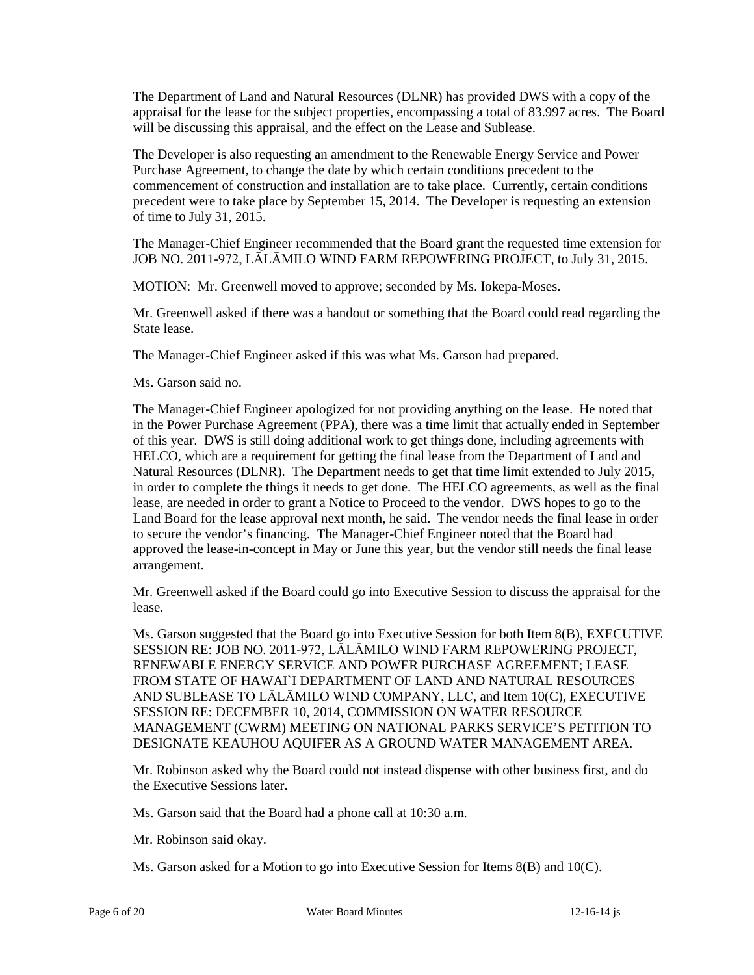The Department of Land and Natural Resources (DLNR) has provided DWS with a copy of the appraisal for the lease for the subject properties, encompassing a total of 83.997 acres. The Board will be discussing this appraisal, and the effect on the Lease and Sublease.

The Developer is also requesting an amendment to the Renewable Energy Service and Power Purchase Agreement, to change the date by which certain conditions precedent to the commencement of construction and installation are to take place. Currently, certain conditions precedent were to take place by September 15, 2014. The Developer is requesting an extension of time to July 31, 2015.

The Manager-Chief Engineer recommended that the Board grant the requested time extension for JOB NO. 2011-972, LĀLĀMILO WIND FARM REPOWERING PROJECT, to July 31, 2015.

MOTION: Mr. Greenwell moved to approve; seconded by Ms. Iokepa-Moses.

Mr. Greenwell asked if there was a handout or something that the Board could read regarding the State lease.

The Manager-Chief Engineer asked if this was what Ms. Garson had prepared.

Ms. Garson said no.

The Manager-Chief Engineer apologized for not providing anything on the lease. He noted that in the Power Purchase Agreement (PPA), there was a time limit that actually ended in September of this year. DWS is still doing additional work to get things done, including agreements with HELCO, which are a requirement for getting the final lease from the Department of Land and Natural Resources (DLNR). The Department needs to get that time limit extended to July 2015, in order to complete the things it needs to get done. The HELCO agreements, as well as the final lease, are needed in order to grant a Notice to Proceed to the vendor. DWS hopes to go to the Land Board for the lease approval next month, he said. The vendor needs the final lease in order to secure the vendor's financing. The Manager-Chief Engineer noted that the Board had approved the lease-in-concept in May or June this year, but the vendor still needs the final lease arrangement.

Mr. Greenwell asked if the Board could go into Executive Session to discuss the appraisal for the lease.

Ms. Garson suggested that the Board go into Executive Session for both Item 8(B), EXECUTIVE SESSION RE: JOB NO. 2011-972, LĀLĀMILO WIND FARM REPOWERING PROJECT, RENEWABLE ENERGY SERVICE AND POWER PURCHASE AGREEMENT; LEASE FROM STATE OF HAWAI`I DEPARTMENT OF LAND AND NATURAL RESOURCES AND SUBLEASE TO LĀLĀMILO WIND COMPANY, LLC, and Item 10(C), EXECUTIVE SESSION RE: DECEMBER 10, 2014, COMMISSION ON WATER RESOURCE MANAGEMENT (CWRM) MEETING ON NATIONAL PARKS SERVICE'S PETITION TO DESIGNATE KEAUHOU AQUIFER AS A GROUND WATER MANAGEMENT AREA.

Mr. Robinson asked why the Board could not instead dispense with other business first, and do the Executive Sessions later.

Ms. Garson said that the Board had a phone call at 10:30 a.m.

Mr. Robinson said okay.

Ms. Garson asked for a Motion to go into Executive Session for Items 8(B) and 10(C).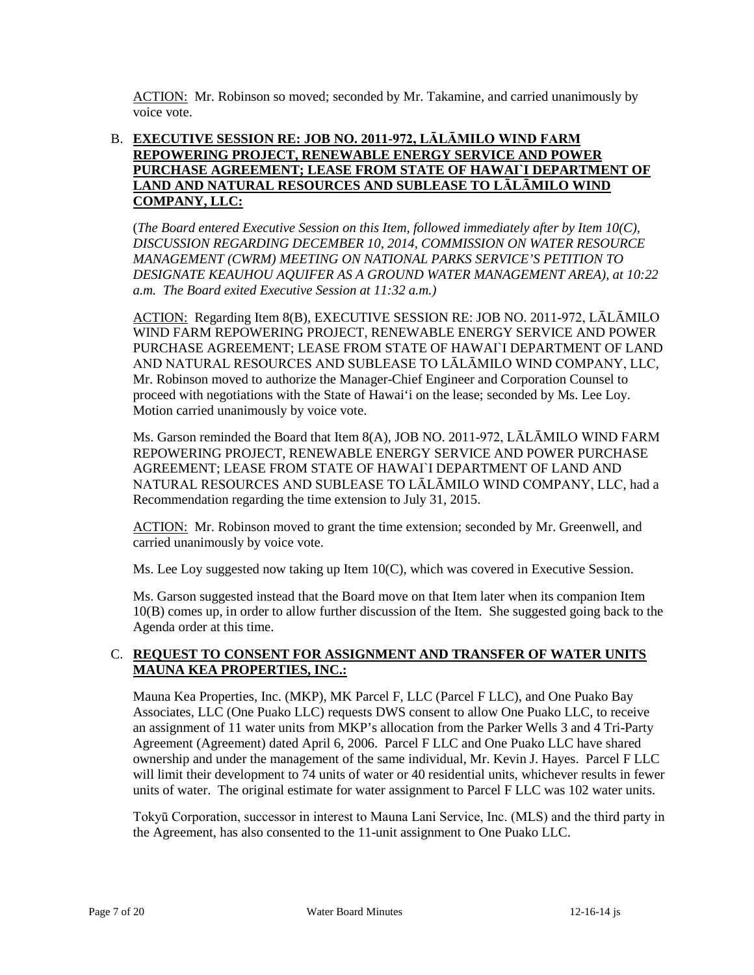ACTION: Mr. Robinson so moved; seconded by Mr. Takamine, and carried unanimously by voice vote.

# B. **EXECUTIVE SESSION RE: JOB NO. 2011-972, LĀLĀMILO WIND FARM REPOWERING PROJECT, RENEWABLE ENERGY SERVICE AND POWER PURCHASE AGREEMENT; LEASE FROM STATE OF HAWAI`I DEPARTMENT OF LAND AND NATURAL RESOURCES AND SUBLEASE TO LĀLĀMILO WIND COMPANY, LLC:**

(*The Board entered Executive Session on this Item, followed immediately after by Item 10(C), DISCUSSION REGARDING DECEMBER 10, 2014, COMMISSION ON WATER RESOURCE MANAGEMENT (CWRM) MEETING ON NATIONAL PARKS SERVICE'S PETITION TO DESIGNATE KEAUHOU AQUIFER AS A GROUND WATER MANAGEMENT AREA), at 10:22 a.m. The Board exited Executive Session at 11:32 a.m.)*

ACTION: Regarding Item 8(B), EXECUTIVE SESSION RE: JOB NO. 2011-972, LĀLĀMILO WIND FARM REPOWERING PROJECT, RENEWABLE ENERGY SERVICE AND POWER PURCHASE AGREEMENT; LEASE FROM STATE OF HAWAI`I DEPARTMENT OF LAND AND NATURAL RESOURCES AND SUBLEASE TO LĀLĀMILO WIND COMPANY, LLC, Mr. Robinson moved to authorize the Manager-Chief Engineer and Corporation Counsel to proceed with negotiations with the State of Hawai'i on the lease; seconded by Ms. Lee Loy. Motion carried unanimously by voice vote.

Ms. Garson reminded the Board that Item 8(A), JOB NO. 2011-972, LĀLĀMILO WIND FARM REPOWERING PROJECT, RENEWABLE ENERGY SERVICE AND POWER PURCHASE AGREEMENT; LEASE FROM STATE OF HAWAI`I DEPARTMENT OF LAND AND NATURAL RESOURCES AND SUBLEASE TO LĀLĀMILO WIND COMPANY, LLC, had a Recommendation regarding the time extension to July 31, 2015.

ACTION: Mr. Robinson moved to grant the time extension; seconded by Mr. Greenwell, and carried unanimously by voice vote.

Ms. Lee Loy suggested now taking up Item 10(C), which was covered in Executive Session.

Ms. Garson suggested instead that the Board move on that Item later when its companion Item 10(B) comes up, in order to allow further discussion of the Item. She suggested going back to the Agenda order at this time.

# C. **REQUEST TO CONSENT FOR ASSIGNMENT AND TRANSFER OF WATER UNITS MAUNA KEA PROPERTIES, INC.:**

Mauna Kea Properties, Inc. (MKP), MK Parcel F, LLC (Parcel F LLC), and One Puako Bay Associates, LLC (One Puako LLC) requests DWS consent to allow One Puako LLC, to receive an assignment of 11 water units from MKP's allocation from the Parker Wells 3 and 4 Tri-Party Agreement (Agreement) dated April 6, 2006. Parcel F LLC and One Puako LLC have shared ownership and under the management of the same individual, Mr. Kevin J. Hayes. Parcel F LLC will limit their development to 74 units of water or 40 residential units, whichever results in fewer units of water. The original estimate for water assignment to Parcel F LLC was 102 water units.

Tokyū Corporation, successor in interest to Mauna Lani Service, Inc. (MLS) and the third party in the Agreement, has also consented to the 11-unit assignment to One Puako LLC.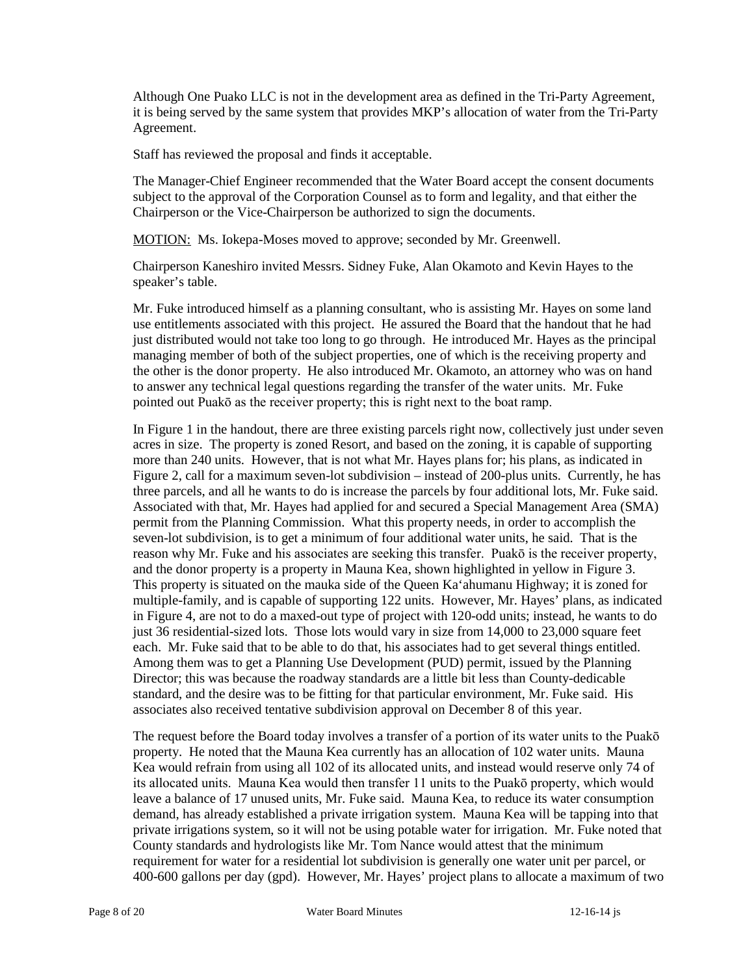Although One Puako LLC is not in the development area as defined in the Tri-Party Agreement, it is being served by the same system that provides MKP's allocation of water from the Tri-Party Agreement.

Staff has reviewed the proposal and finds it acceptable.

The Manager-Chief Engineer recommended that the Water Board accept the consent documents subject to the approval of the Corporation Counsel as to form and legality, and that either the Chairperson or the Vice-Chairperson be authorized to sign the documents.

MOTION: Ms. Iokepa-Moses moved to approve; seconded by Mr. Greenwell.

Chairperson Kaneshiro invited Messrs. Sidney Fuke, Alan Okamoto and Kevin Hayes to the speaker's table.

Mr. Fuke introduced himself as a planning consultant, who is assisting Mr. Hayes on some land use entitlements associated with this project. He assured the Board that the handout that he had just distributed would not take too long to go through. He introduced Mr. Hayes as the principal managing member of both of the subject properties, one of which is the receiving property and the other is the donor property. He also introduced Mr. Okamoto, an attorney who was on hand to answer any technical legal questions regarding the transfer of the water units. Mr. Fuke pointed out Puakō as the receiver property; this is right next to the boat ramp.

In Figure 1 in the handout, there are three existing parcels right now, collectively just under seven acres in size. The property is zoned Resort, and based on the zoning, it is capable of supporting more than 240 units. However, that is not what Mr. Hayes plans for; his plans, as indicated in Figure 2, call for a maximum seven-lot subdivision – instead of 200-plus units. Currently, he has three parcels, and all he wants to do is increase the parcels by four additional lots, Mr. Fuke said. Associated with that, Mr. Hayes had applied for and secured a Special Management Area (SMA) permit from the Planning Commission. What this property needs, in order to accomplish the seven-lot subdivision, is to get a minimum of four additional water units, he said. That is the reason why Mr. Fuke and his associates are seeking this transfer. Puakō is the receiver property, and the donor property is a property in Mauna Kea, shown highlighted in yellow in Figure 3. This property is situated on the mauka side of the Queen Ka'ahumanu Highway; it is zoned for multiple-family, and is capable of supporting 122 units. However, Mr. Hayes' plans, as indicated in Figure 4, are not to do a maxed-out type of project with 120-odd units; instead, he wants to do just 36 residential-sized lots. Those lots would vary in size from 14,000 to 23,000 square feet each. Mr. Fuke said that to be able to do that, his associates had to get several things entitled. Among them was to get a Planning Use Development (PUD) permit, issued by the Planning Director; this was because the roadway standards are a little bit less than County-dedicable standard, and the desire was to be fitting for that particular environment, Mr. Fuke said. His associates also received tentative subdivision approval on December 8 of this year.

The request before the Board today involves a transfer of a portion of its water units to the Puakō property. He noted that the Mauna Kea currently has an allocation of 102 water units. Mauna Kea would refrain from using all 102 of its allocated units, and instead would reserve only 74 of its allocated units. Mauna Kea would then transfer 11 units to the Puakō property, which would leave a balance of 17 unused units, Mr. Fuke said. Mauna Kea, to reduce its water consumption demand, has already established a private irrigation system. Mauna Kea will be tapping into that private irrigations system, so it will not be using potable water for irrigation. Mr. Fuke noted that County standards and hydrologists like Mr. Tom Nance would attest that the minimum requirement for water for a residential lot subdivision is generally one water unit per parcel, or 400-600 gallons per day (gpd). However, Mr. Hayes' project plans to allocate a maximum of two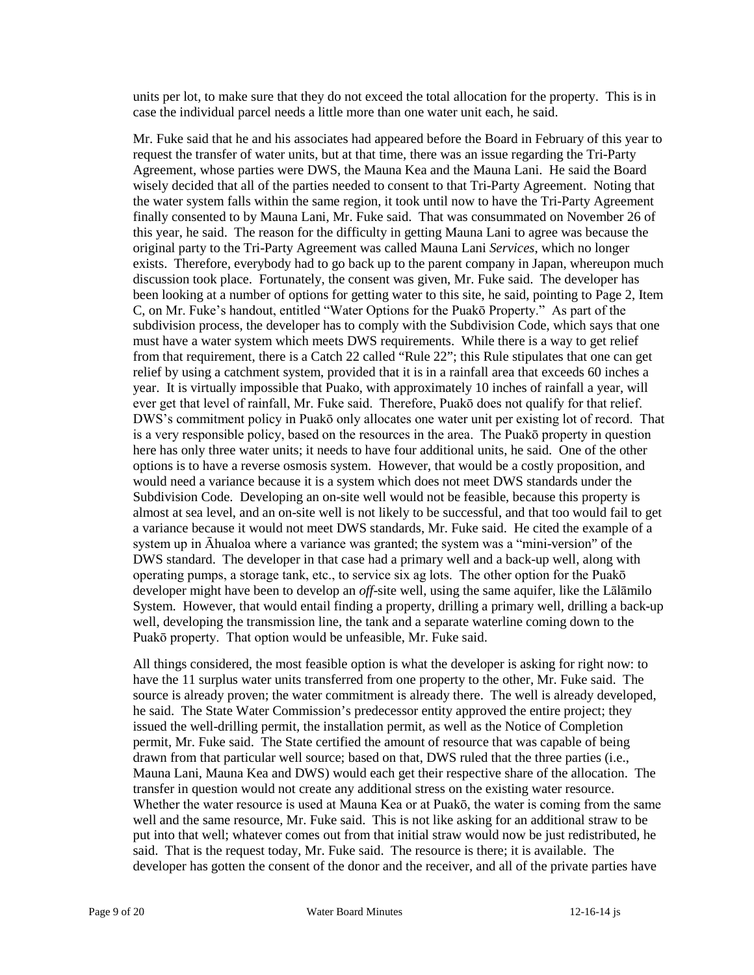units per lot, to make sure that they do not exceed the total allocation for the property. This is in case the individual parcel needs a little more than one water unit each, he said.

Mr. Fuke said that he and his associates had appeared before the Board in February of this year to request the transfer of water units, but at that time, there was an issue regarding the Tri-Party Agreement, whose parties were DWS, the Mauna Kea and the Mauna Lani. He said the Board wisely decided that all of the parties needed to consent to that Tri-Party Agreement. Noting that the water system falls within the same region, it took until now to have the Tri-Party Agreement finally consented to by Mauna Lani, Mr. Fuke said. That was consummated on November 26 of this year, he said. The reason for the difficulty in getting Mauna Lani to agree was because the original party to the Tri-Party Agreement was called Mauna Lani *Services*, which no longer exists. Therefore, everybody had to go back up to the parent company in Japan, whereupon much discussion took place. Fortunately, the consent was given, Mr. Fuke said. The developer has been looking at a number of options for getting water to this site, he said, pointing to Page 2, Item C, on Mr. Fuke's handout, entitled "Water Options for the Puakō Property." As part of the subdivision process, the developer has to comply with the Subdivision Code, which says that one must have a water system which meets DWS requirements. While there is a way to get relief from that requirement, there is a Catch 22 called "Rule 22"; this Rule stipulates that one can get relief by using a catchment system, provided that it is in a rainfall area that exceeds 60 inches a year. It is virtually impossible that Puako, with approximately 10 inches of rainfall a year, will ever get that level of rainfall, Mr. Fuke said. Therefore, Puakō does not qualify for that relief. DWS's commitment policy in Puakō only allocates one water unit per existing lot of record. That is a very responsible policy, based on the resources in the area. The Puakō property in question here has only three water units; it needs to have four additional units, he said. One of the other options is to have a reverse osmosis system. However, that would be a costly proposition, and would need a variance because it is a system which does not meet DWS standards under the Subdivision Code. Developing an on-site well would not be feasible, because this property is almost at sea level, and an on-site well is not likely to be successful, and that too would fail to get a variance because it would not meet DWS standards, Mr. Fuke said. He cited the example of a system up in Āhualoa where a variance was granted; the system was a "mini-version" of the DWS standard. The developer in that case had a primary well and a back-up well, along with operating pumps, a storage tank, etc., to service six ag lots. The other option for the Puakō developer might have been to develop an *off*-site well, using the same aquifer, like the Lālāmilo System. However, that would entail finding a property, drilling a primary well, drilling a back-up well, developing the transmission line, the tank and a separate waterline coming down to the Puakō property. That option would be unfeasible, Mr. Fuke said.

All things considered, the most feasible option is what the developer is asking for right now: to have the 11 surplus water units transferred from one property to the other, Mr. Fuke said. The source is already proven; the water commitment is already there. The well is already developed, he said. The State Water Commission's predecessor entity approved the entire project; they issued the well-drilling permit, the installation permit, as well as the Notice of Completion permit, Mr. Fuke said. The State certified the amount of resource that was capable of being drawn from that particular well source; based on that, DWS ruled that the three parties (i.e., Mauna Lani, Mauna Kea and DWS) would each get their respective share of the allocation. The transfer in question would not create any additional stress on the existing water resource. Whether the water resource is used at Mauna Kea or at Puakō, the water is coming from the same well and the same resource, Mr. Fuke said. This is not like asking for an additional straw to be put into that well; whatever comes out from that initial straw would now be just redistributed, he said. That is the request today, Mr. Fuke said. The resource is there; it is available. The developer has gotten the consent of the donor and the receiver, and all of the private parties have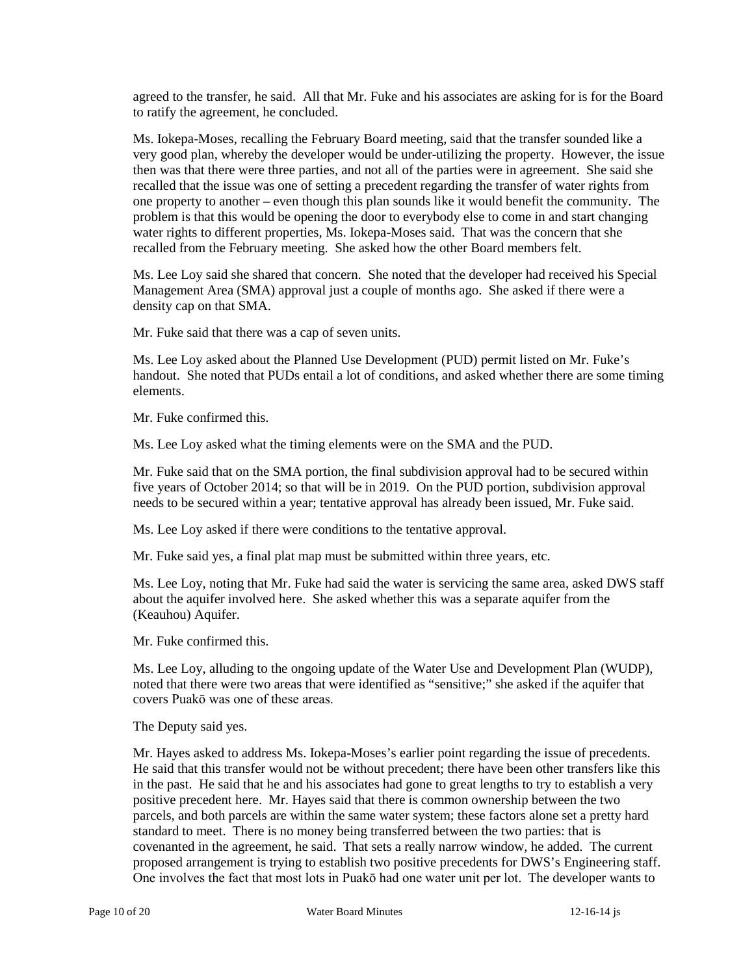agreed to the transfer, he said. All that Mr. Fuke and his associates are asking for is for the Board to ratify the agreement, he concluded.

Ms. Iokepa-Moses, recalling the February Board meeting, said that the transfer sounded like a very good plan, whereby the developer would be under-utilizing the property. However, the issue then was that there were three parties, and not all of the parties were in agreement. She said she recalled that the issue was one of setting a precedent regarding the transfer of water rights from one property to another – even though this plan sounds like it would benefit the community. The problem is that this would be opening the door to everybody else to come in and start changing water rights to different properties, Ms. Iokepa-Moses said. That was the concern that she recalled from the February meeting. She asked how the other Board members felt.

Ms. Lee Loy said she shared that concern. She noted that the developer had received his Special Management Area (SMA) approval just a couple of months ago. She asked if there were a density cap on that SMA.

Mr. Fuke said that there was a cap of seven units.

Ms. Lee Loy asked about the Planned Use Development (PUD) permit listed on Mr. Fuke's handout. She noted that PUDs entail a lot of conditions, and asked whether there are some timing elements.

Mr. Fuke confirmed this.

Ms. Lee Loy asked what the timing elements were on the SMA and the PUD.

Mr. Fuke said that on the SMA portion, the final subdivision approval had to be secured within five years of October 2014; so that will be in 2019. On the PUD portion, subdivision approval needs to be secured within a year; tentative approval has already been issued, Mr. Fuke said.

Ms. Lee Loy asked if there were conditions to the tentative approval.

Mr. Fuke said yes, a final plat map must be submitted within three years, etc.

Ms. Lee Loy, noting that Mr. Fuke had said the water is servicing the same area, asked DWS staff about the aquifer involved here. She asked whether this was a separate aquifer from the (Keauhou) Aquifer.

Mr. Fuke confirmed this.

Ms. Lee Loy, alluding to the ongoing update of the Water Use and Development Plan (WUDP), noted that there were two areas that were identified as "sensitive;" she asked if the aquifer that covers Puakō was one of these areas.

The Deputy said yes.

Mr. Hayes asked to address Ms. Iokepa-Moses's earlier point regarding the issue of precedents. He said that this transfer would not be without precedent; there have been other transfers like this in the past. He said that he and his associates had gone to great lengths to try to establish a very positive precedent here. Mr. Hayes said that there is common ownership between the two parcels, and both parcels are within the same water system; these factors alone set a pretty hard standard to meet. There is no money being transferred between the two parties: that is covenanted in the agreement, he said. That sets a really narrow window, he added. The current proposed arrangement is trying to establish two positive precedents for DWS's Engineering staff. One involves the fact that most lots in Puakō had one water unit per lot. The developer wants to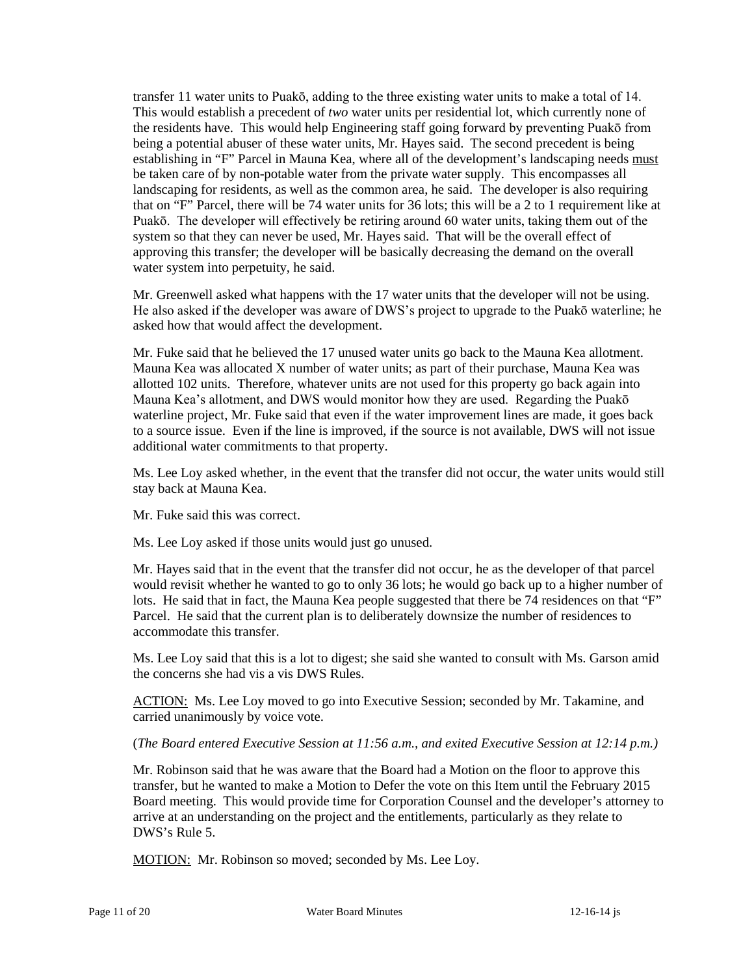transfer 11 water units to Puakō, adding to the three existing water units to make a total of 14. This would establish a precedent of *two* water units per residential lot, which currently none of the residents have. This would help Engineering staff going forward by preventing Puakō from being a potential abuser of these water units, Mr. Hayes said. The second precedent is being establishing in "F" Parcel in Mauna Kea, where all of the development's landscaping needs must be taken care of by non-potable water from the private water supply. This encompasses all landscaping for residents, as well as the common area, he said. The developer is also requiring that on "F" Parcel, there will be 74 water units for 36 lots; this will be a 2 to 1 requirement like at Puakō. The developer will effectively be retiring around 60 water units, taking them out of the system so that they can never be used, Mr. Hayes said. That will be the overall effect of approving this transfer; the developer will be basically decreasing the demand on the overall water system into perpetuity, he said.

Mr. Greenwell asked what happens with the 17 water units that the developer will not be using. He also asked if the developer was aware of DWS's project to upgrade to the Puakō waterline; he asked how that would affect the development.

Mr. Fuke said that he believed the 17 unused water units go back to the Mauna Kea allotment. Mauna Kea was allocated X number of water units; as part of their purchase, Mauna Kea was allotted 102 units. Therefore, whatever units are not used for this property go back again into Mauna Kea's allotment, and DWS would monitor how they are used. Regarding the Puakō waterline project, Mr. Fuke said that even if the water improvement lines are made, it goes back to a source issue. Even if the line is improved, if the source is not available, DWS will not issue additional water commitments to that property.

Ms. Lee Loy asked whether, in the event that the transfer did not occur, the water units would still stay back at Mauna Kea.

Mr. Fuke said this was correct.

Ms. Lee Loy asked if those units would just go unused.

Mr. Hayes said that in the event that the transfer did not occur, he as the developer of that parcel would revisit whether he wanted to go to only 36 lots; he would go back up to a higher number of lots. He said that in fact, the Mauna Kea people suggested that there be 74 residences on that "F" Parcel. He said that the current plan is to deliberately downsize the number of residences to accommodate this transfer.

Ms. Lee Loy said that this is a lot to digest; she said she wanted to consult with Ms. Garson amid the concerns she had vis a vis DWS Rules.

ACTION: Ms. Lee Loy moved to go into Executive Session; seconded by Mr. Takamine, and carried unanimously by voice vote.

(*The Board entered Executive Session at 11:56 a.m., and exited Executive Session at 12:14 p.m.)*

Mr. Robinson said that he was aware that the Board had a Motion on the floor to approve this transfer, but he wanted to make a Motion to Defer the vote on this Item until the February 2015 Board meeting. This would provide time for Corporation Counsel and the developer's attorney to arrive at an understanding on the project and the entitlements, particularly as they relate to DWS's Rule 5.

MOTION: Mr. Robinson so moved; seconded by Ms. Lee Loy.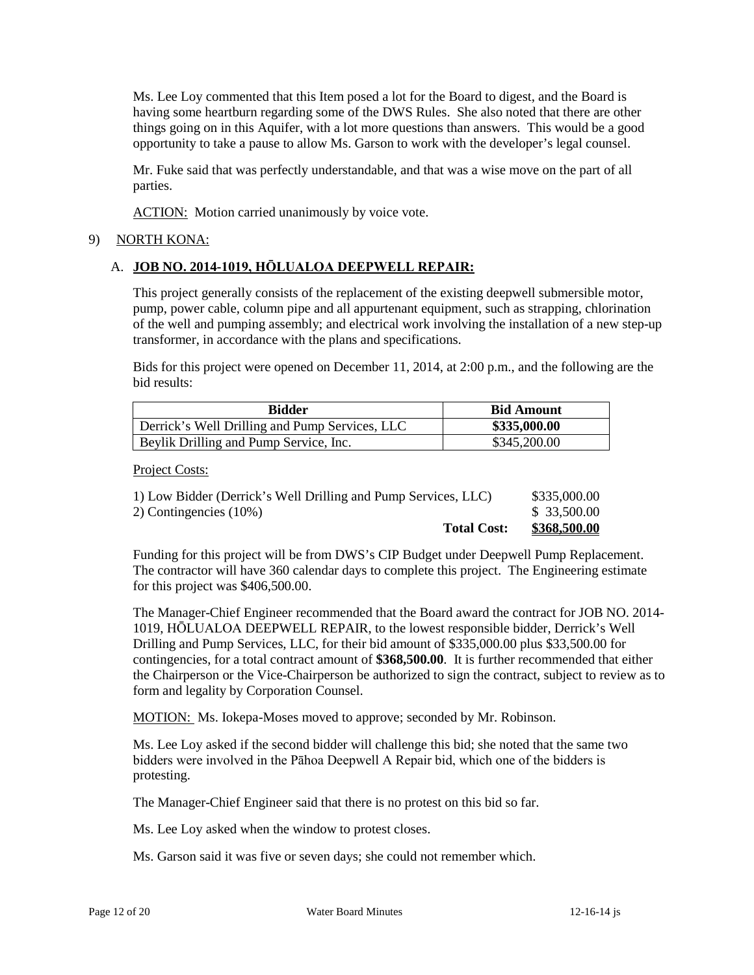Ms. Lee Loy commented that this Item posed a lot for the Board to digest, and the Board is having some heartburn regarding some of the DWS Rules. She also noted that there are other things going on in this Aquifer, with a lot more questions than answers. This would be a good opportunity to take a pause to allow Ms. Garson to work with the developer's legal counsel.

Mr. Fuke said that was perfectly understandable, and that was a wise move on the part of all parties.

ACTION: Motion carried unanimously by voice vote.

### 9) NORTH KONA:

# A. **JOB NO. 2014-1019, HŌLUALOA DEEPWELL REPAIR:**

This project generally consists of the replacement of the existing deepwell submersible motor, pump, power cable, column pipe and all appurtenant equipment, such as strapping, chlorination of the well and pumping assembly; and electrical work involving the installation of a new step-up transformer, in accordance with the plans and specifications.

Bids for this project were opened on December 11, 2014, at 2:00 p.m., and the following are the bid results:

| <b>Bidder</b>                                  | <b>Bid Amount</b> |
|------------------------------------------------|-------------------|
| Derrick's Well Drilling and Pump Services, LLC | \$335,000.00      |
| Beylik Drilling and Pump Service, Inc.         | \$345,200.00      |

Project Costs:

| <b>Total Cost:</b>                                             | \$368,500.00 |
|----------------------------------------------------------------|--------------|
| 2) Contingencies (10%)                                         | \$ 33,500.00 |
| 1) Low Bidder (Derrick's Well Drilling and Pump Services, LLC) | \$335,000.00 |

Funding for this project will be from DWS's CIP Budget under Deepwell Pump Replacement. The contractor will have 360 calendar days to complete this project. The Engineering estimate for this project was \$406,500.00.

The Manager-Chief Engineer recommended that the Board award the contract for JOB NO. 2014- 1019, HŌLUALOA DEEPWELL REPAIR, to the lowest responsible bidder, Derrick's Well Drilling and Pump Services, LLC, for their bid amount of \$335,000.00 plus \$33,500.00 for contingencies, for a total contract amount of **\$368,500.00**. It is further recommended that either the Chairperson or the Vice-Chairperson be authorized to sign the contract, subject to review as to form and legality by Corporation Counsel.

MOTION: Ms. Iokepa-Moses moved to approve; seconded by Mr. Robinson.

Ms. Lee Loy asked if the second bidder will challenge this bid; she noted that the same two bidders were involved in the Pāhoa Deepwell A Repair bid, which one of the bidders is protesting.

The Manager-Chief Engineer said that there is no protest on this bid so far.

Ms. Lee Loy asked when the window to protest closes.

Ms. Garson said it was five or seven days; she could not remember which.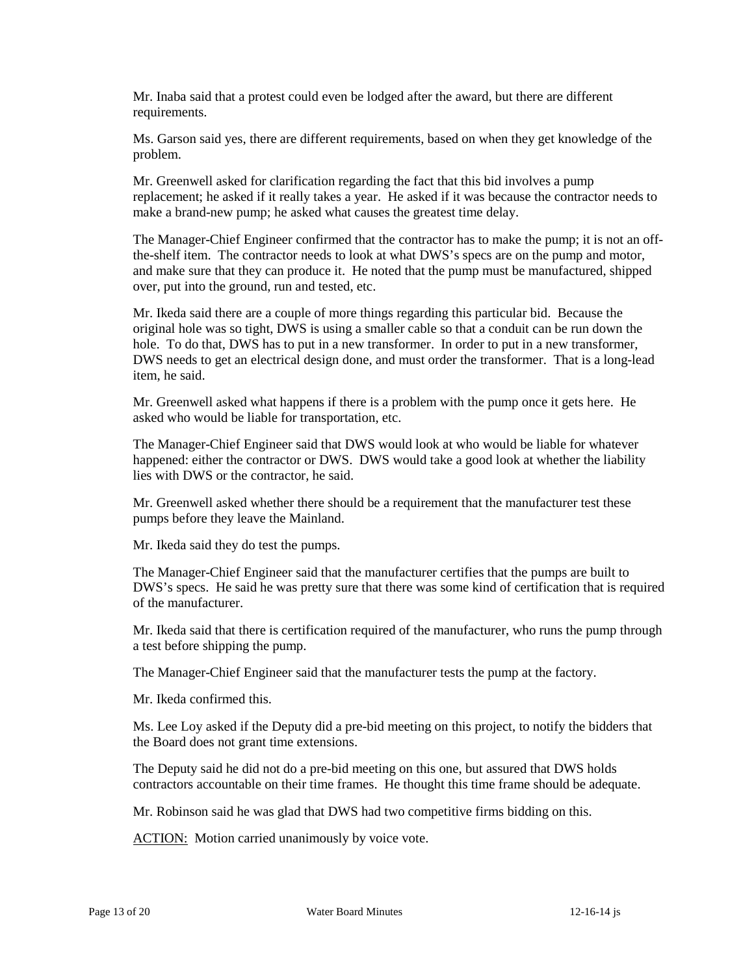Mr. Inaba said that a protest could even be lodged after the award, but there are different requirements.

Ms. Garson said yes, there are different requirements, based on when they get knowledge of the problem.

Mr. Greenwell asked for clarification regarding the fact that this bid involves a pump replacement; he asked if it really takes a year. He asked if it was because the contractor needs to make a brand-new pump; he asked what causes the greatest time delay.

The Manager-Chief Engineer confirmed that the contractor has to make the pump; it is not an offthe-shelf item. The contractor needs to look at what DWS's specs are on the pump and motor, and make sure that they can produce it. He noted that the pump must be manufactured, shipped over, put into the ground, run and tested, etc.

Mr. Ikeda said there are a couple of more things regarding this particular bid. Because the original hole was so tight, DWS is using a smaller cable so that a conduit can be run down the hole. To do that, DWS has to put in a new transformer. In order to put in a new transformer, DWS needs to get an electrical design done, and must order the transformer. That is a long-lead item, he said.

Mr. Greenwell asked what happens if there is a problem with the pump once it gets here. He asked who would be liable for transportation, etc.

The Manager-Chief Engineer said that DWS would look at who would be liable for whatever happened: either the contractor or DWS. DWS would take a good look at whether the liability lies with DWS or the contractor, he said.

Mr. Greenwell asked whether there should be a requirement that the manufacturer test these pumps before they leave the Mainland.

Mr. Ikeda said they do test the pumps.

The Manager-Chief Engineer said that the manufacturer certifies that the pumps are built to DWS's specs. He said he was pretty sure that there was some kind of certification that is required of the manufacturer.

Mr. Ikeda said that there is certification required of the manufacturer, who runs the pump through a test before shipping the pump.

The Manager-Chief Engineer said that the manufacturer tests the pump at the factory.

Mr. Ikeda confirmed this.

Ms. Lee Loy asked if the Deputy did a pre-bid meeting on this project, to notify the bidders that the Board does not grant time extensions.

The Deputy said he did not do a pre-bid meeting on this one, but assured that DWS holds contractors accountable on their time frames. He thought this time frame should be adequate.

Mr. Robinson said he was glad that DWS had two competitive firms bidding on this.

**ACTION:** Motion carried unanimously by voice vote.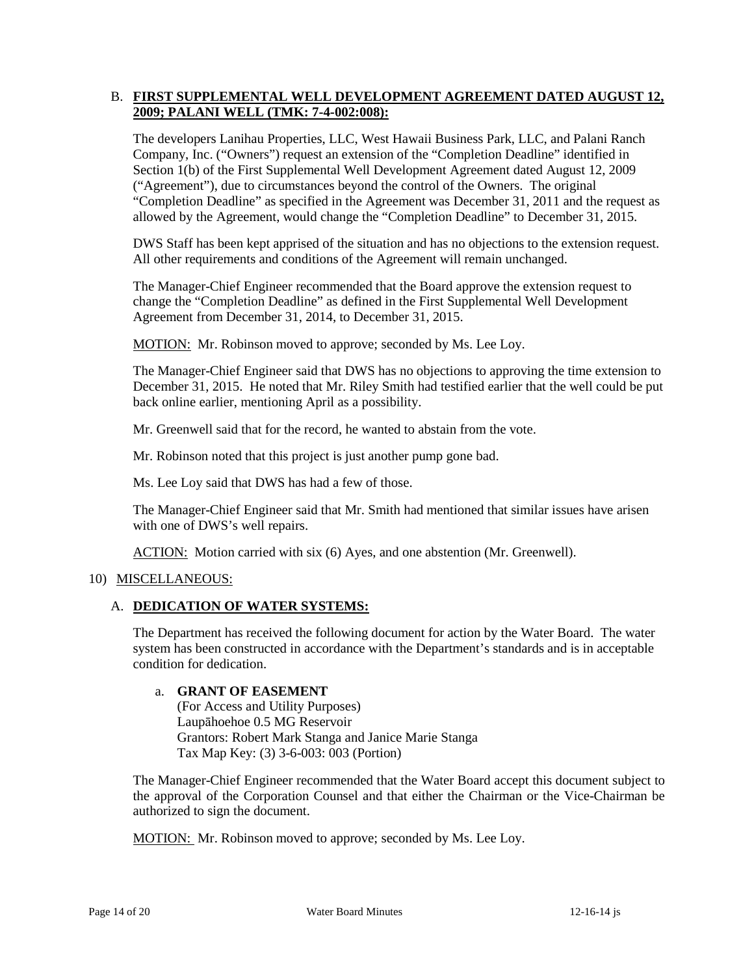# B. **FIRST SUPPLEMENTAL WELL DEVELOPMENT AGREEMENT DATED AUGUST 12, 2009; PALANI WELL (TMK: 7-4-002:008):**

The developers Lanihau Properties, LLC, West Hawaii Business Park, LLC, and Palani Ranch Company, Inc. ("Owners") request an extension of the "Completion Deadline" identified in Section 1(b) of the First Supplemental Well Development Agreement dated August 12, 2009 ("Agreement"), due to circumstances beyond the control of the Owners. The original "Completion Deadline" as specified in the Agreement was December 31, 2011 and the request as allowed by the Agreement, would change the "Completion Deadline" to December 31, 2015.

DWS Staff has been kept apprised of the situation and has no objections to the extension request. All other requirements and conditions of the Agreement will remain unchanged.

The Manager-Chief Engineer recommended that the Board approve the extension request to change the "Completion Deadline" as defined in the First Supplemental Well Development Agreement from December 31, 2014, to December 31, 2015.

MOTION: Mr. Robinson moved to approve; seconded by Ms. Lee Loy.

The Manager-Chief Engineer said that DWS has no objections to approving the time extension to December 31, 2015. He noted that Mr. Riley Smith had testified earlier that the well could be put back online earlier, mentioning April as a possibility.

Mr. Greenwell said that for the record, he wanted to abstain from the vote.

Mr. Robinson noted that this project is just another pump gone bad.

Ms. Lee Loy said that DWS has had a few of those.

The Manager-Chief Engineer said that Mr. Smith had mentioned that similar issues have arisen with one of DWS's well repairs.

ACTION: Motion carried with six (6) Ayes, and one abstention (Mr. Greenwell).

### 10) MISCELLANEOUS:

### A. **DEDICATION OF WATER SYSTEMS:**

The Department has received the following document for action by the Water Board. The water system has been constructed in accordance with the Department's standards and is in acceptable condition for dedication.

### a. **GRANT OF EASEMENT**

(For Access and Utility Purposes) Laupāhoehoe 0.5 MG Reservoir Grantors: Robert Mark Stanga and Janice Marie Stanga Tax Map Key: (3) 3-6-003: 003 (Portion)

The Manager-Chief Engineer recommended that the Water Board accept this document subject to the approval of the Corporation Counsel and that either the Chairman or the Vice-Chairman be authorized to sign the document.

MOTION: Mr. Robinson moved to approve; seconded by Ms. Lee Loy.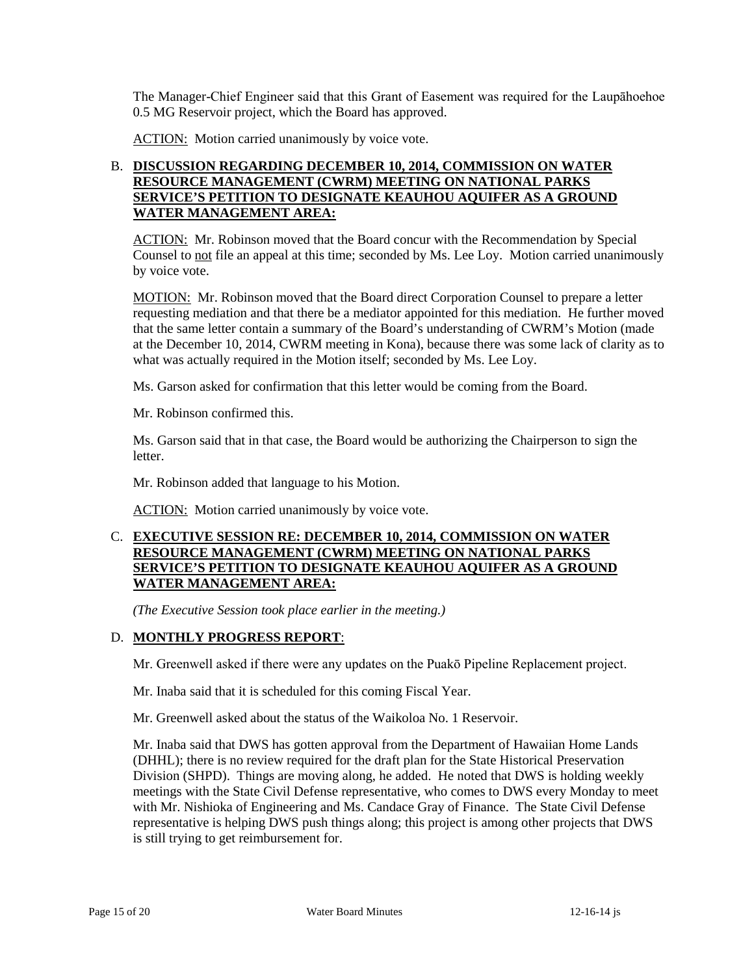The Manager-Chief Engineer said that this Grant of Easement was required for the Laupāhoehoe 0.5 MG Reservoir project, which the Board has approved.

ACTION: Motion carried unanimously by voice vote.

# B. **DISCUSSION REGARDING DECEMBER 10, 2014, COMMISSION ON WATER RESOURCE MANAGEMENT (CWRM) MEETING ON NATIONAL PARKS SERVICE'S PETITION TO DESIGNATE KEAUHOU AQUIFER AS A GROUND WATER MANAGEMENT AREA:**

ACTION: Mr. Robinson moved that the Board concur with the Recommendation by Special Counsel to not file an appeal at this time; seconded by Ms. Lee Loy. Motion carried unanimously by voice vote.

MOTION: Mr. Robinson moved that the Board direct Corporation Counsel to prepare a letter requesting mediation and that there be a mediator appointed for this mediation. He further moved that the same letter contain a summary of the Board's understanding of CWRM's Motion (made at the December 10, 2014, CWRM meeting in Kona), because there was some lack of clarity as to what was actually required in the Motion itself; seconded by Ms. Lee Loy.

Ms. Garson asked for confirmation that this letter would be coming from the Board.

Mr. Robinson confirmed this.

Ms. Garson said that in that case, the Board would be authorizing the Chairperson to sign the letter.

Mr. Robinson added that language to his Motion.

ACTION: Motion carried unanimously by voice vote.

# C. **EXECUTIVE SESSION RE: DECEMBER 10, 2014, COMMISSION ON WATER RESOURCE MANAGEMENT (CWRM) MEETING ON NATIONAL PARKS SERVICE'S PETITION TO DESIGNATE KEAUHOU AQUIFER AS A GROUND WATER MANAGEMENT AREA:**

*(The Executive Session took place earlier in the meeting.)*

### D. **MONTHLY PROGRESS REPORT**:

Mr. Greenwell asked if there were any updates on the Puakō Pipeline Replacement project.

Mr. Inaba said that it is scheduled for this coming Fiscal Year.

Mr. Greenwell asked about the status of the Waikoloa No. 1 Reservoir.

Mr. Inaba said that DWS has gotten approval from the Department of Hawaiian Home Lands (DHHL); there is no review required for the draft plan for the State Historical Preservation Division (SHPD). Things are moving along, he added. He noted that DWS is holding weekly meetings with the State Civil Defense representative, who comes to DWS every Monday to meet with Mr. Nishioka of Engineering and Ms. Candace Gray of Finance. The State Civil Defense representative is helping DWS push things along; this project is among other projects that DWS is still trying to get reimbursement for.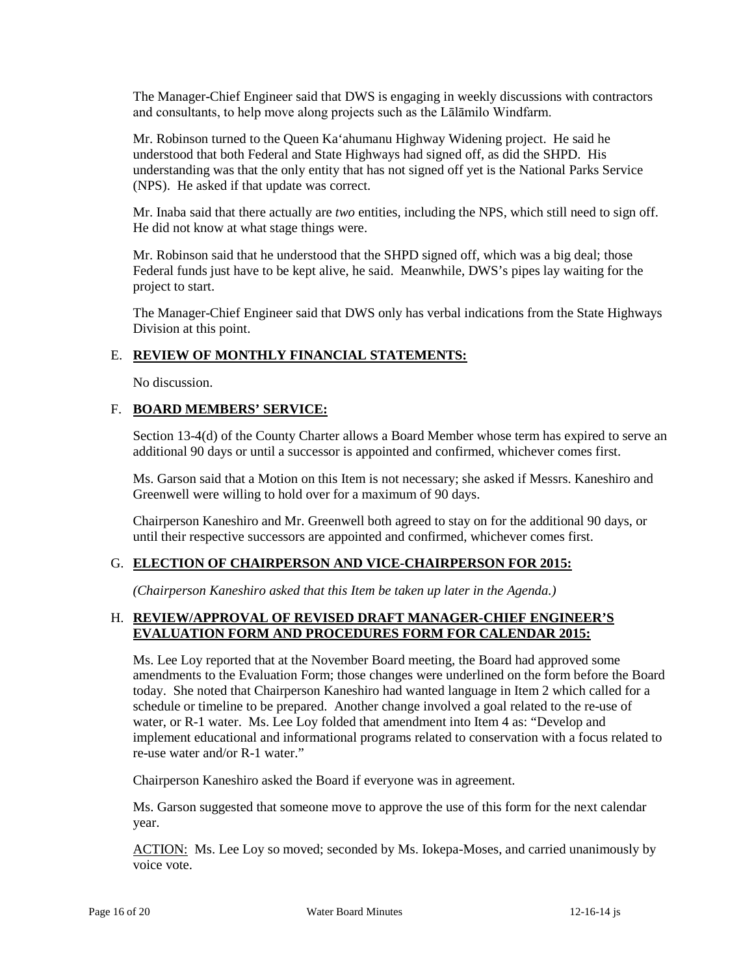The Manager-Chief Engineer said that DWS is engaging in weekly discussions with contractors and consultants, to help move along projects such as the Lālāmilo Windfarm.

Mr. Robinson turned to the Queen Ka'ahumanu Highway Widening project. He said he understood that both Federal and State Highways had signed off, as did the SHPD. His understanding was that the only entity that has not signed off yet is the National Parks Service (NPS). He asked if that update was correct.

Mr. Inaba said that there actually are *two* entities, including the NPS, which still need to sign off. He did not know at what stage things were.

Mr. Robinson said that he understood that the SHPD signed off, which was a big deal; those Federal funds just have to be kept alive, he said. Meanwhile, DWS's pipes lay waiting for the project to start.

The Manager-Chief Engineer said that DWS only has verbal indications from the State Highways Division at this point.

# E. **REVIEW OF MONTHLY FINANCIAL STATEMENTS:**

No discussion.

# F. **BOARD MEMBERS' SERVICE:**

Section 13-4(d) of the County Charter allows a Board Member whose term has expired to serve an additional 90 days or until a successor is appointed and confirmed, whichever comes first.

Ms. Garson said that a Motion on this Item is not necessary; she asked if Messrs. Kaneshiro and Greenwell were willing to hold over for a maximum of 90 days.

Chairperson Kaneshiro and Mr. Greenwell both agreed to stay on for the additional 90 days, or until their respective successors are appointed and confirmed, whichever comes first.

### G. **ELECTION OF CHAIRPERSON AND VICE-CHAIRPERSON FOR 2015:**

*(Chairperson Kaneshiro asked that this Item be taken up later in the Agenda.)*

# H. **REVIEW/APPROVAL OF REVISED DRAFT MANAGER-CHIEF ENGINEER'S EVALUATION FORM AND PROCEDURES FORM FOR CALENDAR 2015:**

Ms. Lee Loy reported that at the November Board meeting, the Board had approved some amendments to the Evaluation Form; those changes were underlined on the form before the Board today. She noted that Chairperson Kaneshiro had wanted language in Item 2 which called for a schedule or timeline to be prepared. Another change involved a goal related to the re-use of water, or R-1 water. Ms. Lee Loy folded that amendment into Item 4 as: "Develop and implement educational and informational programs related to conservation with a focus related to re-use water and/or R-1 water."

Chairperson Kaneshiro asked the Board if everyone was in agreement.

Ms. Garson suggested that someone move to approve the use of this form for the next calendar year.

ACTION: Ms. Lee Loy so moved; seconded by Ms. Iokepa-Moses, and carried unanimously by voice vote.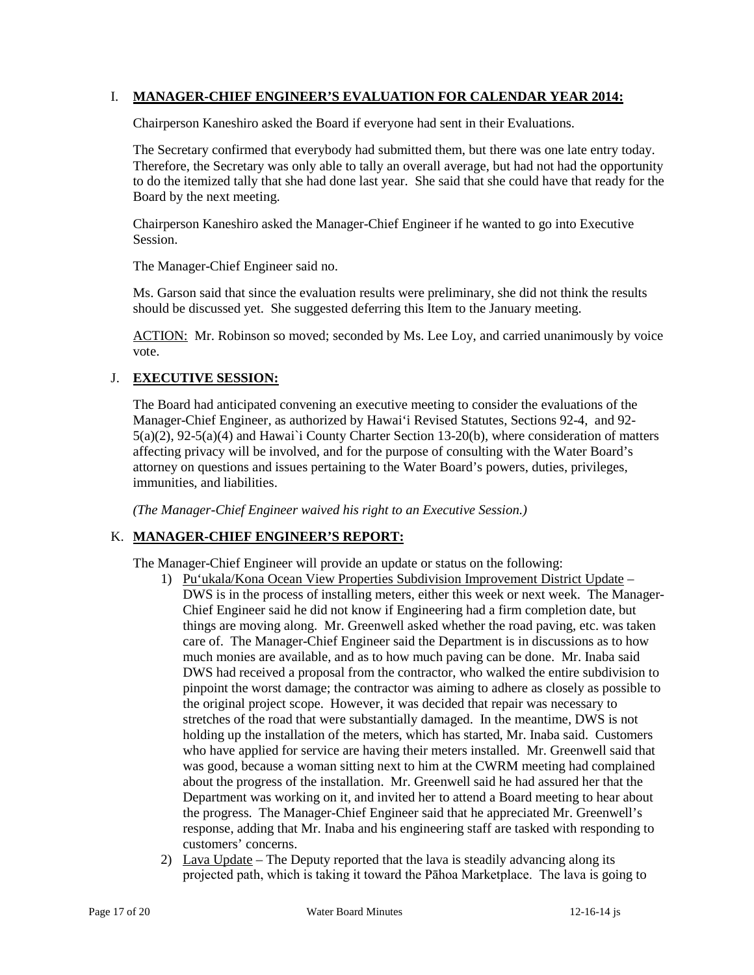### I. **MANAGER-CHIEF ENGINEER'S EVALUATION FOR CALENDAR YEAR 2014:**

Chairperson Kaneshiro asked the Board if everyone had sent in their Evaluations.

The Secretary confirmed that everybody had submitted them, but there was one late entry today. Therefore, the Secretary was only able to tally an overall average, but had not had the opportunity to do the itemized tally that she had done last year. She said that she could have that ready for the Board by the next meeting.

Chairperson Kaneshiro asked the Manager-Chief Engineer if he wanted to go into Executive Session.

The Manager-Chief Engineer said no.

Ms. Garson said that since the evaluation results were preliminary, she did not think the results should be discussed yet. She suggested deferring this Item to the January meeting.

ACTION: Mr. Robinson so moved; seconded by Ms. Lee Loy, and carried unanimously by voice vote.

# J. **EXECUTIVE SESSION:**

The Board had anticipated convening an executive meeting to consider the evaluations of the Manager-Chief Engineer, as authorized by Hawai'i Revised Statutes, Sections 92-4, and 92- 5(a)(2), 92-5(a)(4) and Hawai`i County Charter Section 13-20(b), where consideration of matters affecting privacy will be involved, and for the purpose of consulting with the Water Board's attorney on questions and issues pertaining to the Water Board's powers, duties, privileges, immunities, and liabilities.

*(The Manager-Chief Engineer waived his right to an Executive Session.)*

### K. **MANAGER-CHIEF ENGINEER'S REPORT:**

The Manager-Chief Engineer will provide an update or status on the following:

- 1) Pu'ukala/Kona Ocean View Properties Subdivision Improvement District Update DWS is in the process of installing meters, either this week or next week. The Manager-Chief Engineer said he did not know if Engineering had a firm completion date, but things are moving along. Mr. Greenwell asked whether the road paving, etc. was taken care of. The Manager-Chief Engineer said the Department is in discussions as to how much monies are available, and as to how much paving can be done. Mr. Inaba said DWS had received a proposal from the contractor, who walked the entire subdivision to pinpoint the worst damage; the contractor was aiming to adhere as closely as possible to the original project scope. However, it was decided that repair was necessary to stretches of the road that were substantially damaged. In the meantime, DWS is not holding up the installation of the meters, which has started, Mr. Inaba said. Customers who have applied for service are having their meters installed. Mr. Greenwell said that was good, because a woman sitting next to him at the CWRM meeting had complained about the progress of the installation. Mr. Greenwell said he had assured her that the Department was working on it, and invited her to attend a Board meeting to hear about the progress. The Manager-Chief Engineer said that he appreciated Mr. Greenwell's response, adding that Mr. Inaba and his engineering staff are tasked with responding to customers' concerns.
- 2) Lava Update The Deputy reported that the lava is steadily advancing along its projected path, which is taking it toward the Pāhoa Marketplace. The lava is going to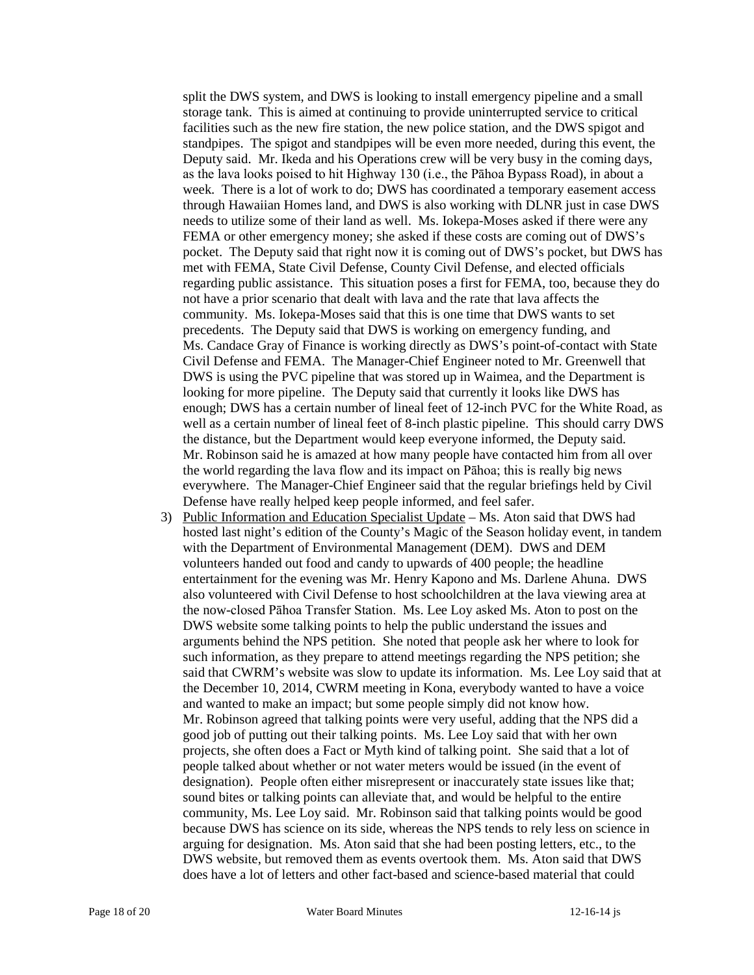split the DWS system, and DWS is looking to install emergency pipeline and a small storage tank. This is aimed at continuing to provide uninterrupted service to critical facilities such as the new fire station, the new police station, and the DWS spigot and standpipes. The spigot and standpipes will be even more needed, during this event, the Deputy said. Mr. Ikeda and his Operations crew will be very busy in the coming days, as the lava looks poised to hit Highway 130 (i.e., the Pāhoa Bypass Road), in about a week. There is a lot of work to do; DWS has coordinated a temporary easement access through Hawaiian Homes land, and DWS is also working with DLNR just in case DWS needs to utilize some of their land as well. Ms. Iokepa-Moses asked if there were any FEMA or other emergency money; she asked if these costs are coming out of DWS's pocket. The Deputy said that right now it is coming out of DWS's pocket, but DWS has met with FEMA, State Civil Defense, County Civil Defense, and elected officials regarding public assistance. This situation poses a first for FEMA, too, because they do not have a prior scenario that dealt with lava and the rate that lava affects the community. Ms. Iokepa-Moses said that this is one time that DWS wants to set precedents. The Deputy said that DWS is working on emergency funding, and Ms. Candace Gray of Finance is working directly as DWS's point-of-contact with State Civil Defense and FEMA. The Manager-Chief Engineer noted to Mr. Greenwell that DWS is using the PVC pipeline that was stored up in Waimea, and the Department is looking for more pipeline. The Deputy said that currently it looks like DWS has enough; DWS has a certain number of lineal feet of 12-inch PVC for the White Road, as well as a certain number of lineal feet of 8-inch plastic pipeline. This should carry DWS the distance, but the Department would keep everyone informed, the Deputy said. Mr. Robinson said he is amazed at how many people have contacted him from all over the world regarding the lava flow and its impact on Pāhoa; this is really big news everywhere. The Manager-Chief Engineer said that the regular briefings held by Civil Defense have really helped keep people informed, and feel safer.

3) Public Information and Education Specialist Update – Ms. Aton said that DWS had hosted last night's edition of the County's Magic of the Season holiday event, in tandem with the Department of Environmental Management (DEM). DWS and DEM volunteers handed out food and candy to upwards of 400 people; the headline entertainment for the evening was Mr. Henry Kapono and Ms. Darlene Ahuna. DWS also volunteered with Civil Defense to host schoolchildren at the lava viewing area at the now-closed Pāhoa Transfer Station. Ms. Lee Loy asked Ms. Aton to post on the DWS website some talking points to help the public understand the issues and arguments behind the NPS petition. She noted that people ask her where to look for such information, as they prepare to attend meetings regarding the NPS petition; she said that CWRM's website was slow to update its information. Ms. Lee Loy said that at the December 10, 2014, CWRM meeting in Kona, everybody wanted to have a voice and wanted to make an impact; but some people simply did not know how. Mr. Robinson agreed that talking points were very useful, adding that the NPS did a good job of putting out their talking points. Ms. Lee Loy said that with her own projects, she often does a Fact or Myth kind of talking point. She said that a lot of people talked about whether or not water meters would be issued (in the event of designation). People often either misrepresent or inaccurately state issues like that; sound bites or talking points can alleviate that, and would be helpful to the entire community, Ms. Lee Loy said. Mr. Robinson said that talking points would be good because DWS has science on its side, whereas the NPS tends to rely less on science in arguing for designation. Ms. Aton said that she had been posting letters, etc., to the DWS website, but removed them as events overtook them. Ms. Aton said that DWS does have a lot of letters and other fact-based and science-based material that could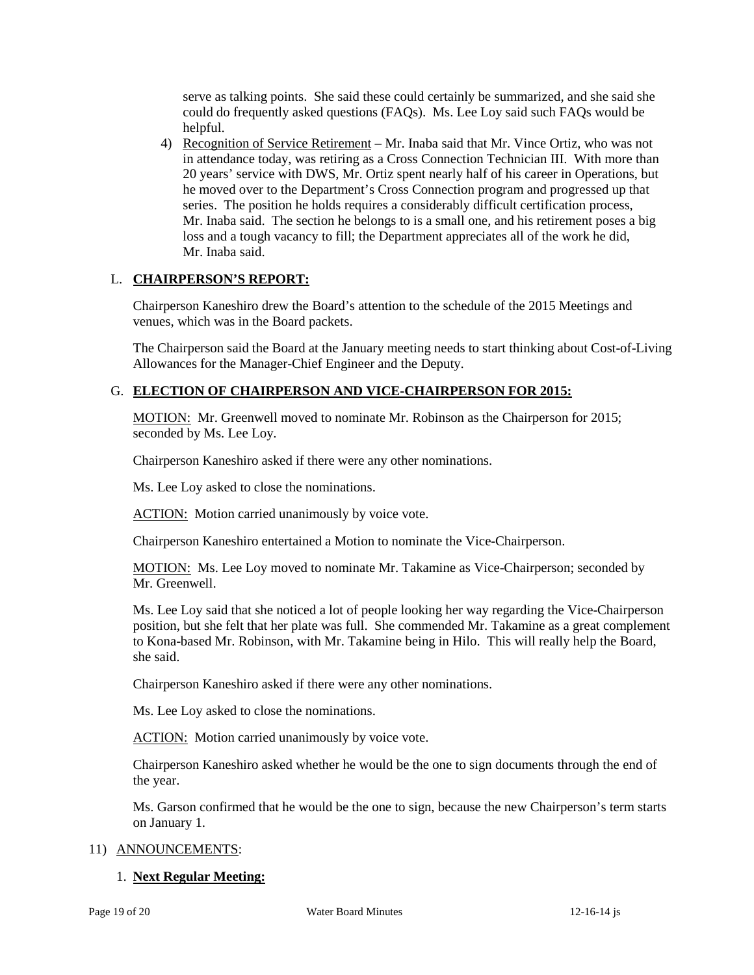serve as talking points. She said these could certainly be summarized, and she said she could do frequently asked questions (FAQs). Ms. Lee Loy said such FAQs would be helpful.

4) Recognition of Service Retirement – Mr. Inaba said that Mr. Vince Ortiz, who was not in attendance today, was retiring as a Cross Connection Technician III. With more than 20 years' service with DWS, Mr. Ortiz spent nearly half of his career in Operations, but he moved over to the Department's Cross Connection program and progressed up that series. The position he holds requires a considerably difficult certification process, Mr. Inaba said. The section he belongs to is a small one, and his retirement poses a big loss and a tough vacancy to fill; the Department appreciates all of the work he did, Mr. Inaba said.

# L. **CHAIRPERSON'S REPORT:**

Chairperson Kaneshiro drew the Board's attention to the schedule of the 2015 Meetings and venues, which was in the Board packets.

The Chairperson said the Board at the January meeting needs to start thinking about Cost-of-Living Allowances for the Manager-Chief Engineer and the Deputy.

# G. **ELECTION OF CHAIRPERSON AND VICE-CHAIRPERSON FOR 2015:**

MOTION: Mr. Greenwell moved to nominate Mr. Robinson as the Chairperson for 2015; seconded by Ms. Lee Loy.

Chairperson Kaneshiro asked if there were any other nominations.

Ms. Lee Loy asked to close the nominations.

**ACTION:** Motion carried unanimously by voice vote.

Chairperson Kaneshiro entertained a Motion to nominate the Vice-Chairperson.

MOTION: Ms. Lee Loy moved to nominate Mr. Takamine as Vice-Chairperson; seconded by Mr. Greenwell.

Ms. Lee Loy said that she noticed a lot of people looking her way regarding the Vice-Chairperson position, but she felt that her plate was full. She commended Mr. Takamine as a great complement to Kona-based Mr. Robinson, with Mr. Takamine being in Hilo. This will really help the Board, she said.

Chairperson Kaneshiro asked if there were any other nominations.

Ms. Lee Loy asked to close the nominations.

**ACTION:** Motion carried unanimously by voice vote.

Chairperson Kaneshiro asked whether he would be the one to sign documents through the end of the year.

Ms. Garson confirmed that he would be the one to sign, because the new Chairperson's term starts on January 1.

### 11) ANNOUNCEMENTS:

### 1. **Next Regular Meeting:**